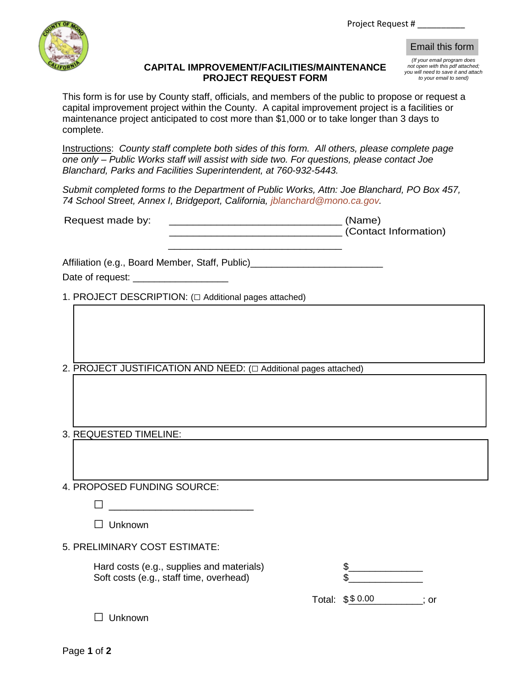Project Request # \_\_\_\_\_\_\_\_\_\_



## **CAPITAL IMPROVEMENT/FACILITIES/MAINTENANCE PROJECT REQUEST FORM**

| (If your email program does         |
|-------------------------------------|
| not open with this pdf attached;    |
| you will need to save it and attach |
| to your email to send)              |

This form is for use by County staff, officials, and members of the public to propose or request a capital improvement project within the County. A capital improvement project is a facilities or maintenance project anticipated to cost more than \$1,000 or to take longer than 3 days to complete. Email this form<br>  $\frac{f(x)}{f(y)}$  will mean in program does<br>  $\frac{f(x)}{f(y)}$  will help be the and a serie and a<br>
blic to propose or request a<br>
th project is a facilities or<br>
longer than 3 days to<br>
solve and to serie of<br>  $\frac{f(x)}{$ 

Instructions: *County staff complete both sides of this form. All others, please complete page one only – Public Works staff will assist with side two. For questions, please contact Joe Blanchard, Parks and Facilities Superintendent, at 760-932-5443.*

*Submit completed forms to the Department of Public Works, Attn: Joe Blanchard, PO Box 457, 74 School Street, Annex I, Bridgeport, California, [jblanchard@mono.ca.gov](mailto:jblanchard@mono.ca.gov).*

| Request made by: | (Name)                |  |
|------------------|-----------------------|--|
|                  | (Contact Information) |  |

\_\_\_\_\_\_\_\_\_\_\_\_\_\_\_\_\_\_\_\_\_\_\_\_\_\_\_\_\_

Affiliation (e.g., Board Member, Staff, Public)\_\_\_\_\_\_\_\_\_\_\_\_\_\_\_\_\_\_\_\_\_\_\_\_\_\_\_\_\_\_\_\_\_

Date of request:  $\Box$ 

1. PROJECT DESCRIPTION: (□ Additional pages attached)

2. PROJECT JUSTIFICATION AND NEED: (□ Additional pages attached)

3. REQUESTED TIMELINE:

4. PROPOSED FUNDING SOURCE:

 $\Box$  Unknown

5. PRELIMINARY COST ESTIMATE:

Hard costs (e.g., supplies and materials) Soft costs (e.g., staff time, overhead)

Total:  $$$0.00$  ; or

□ Unknown